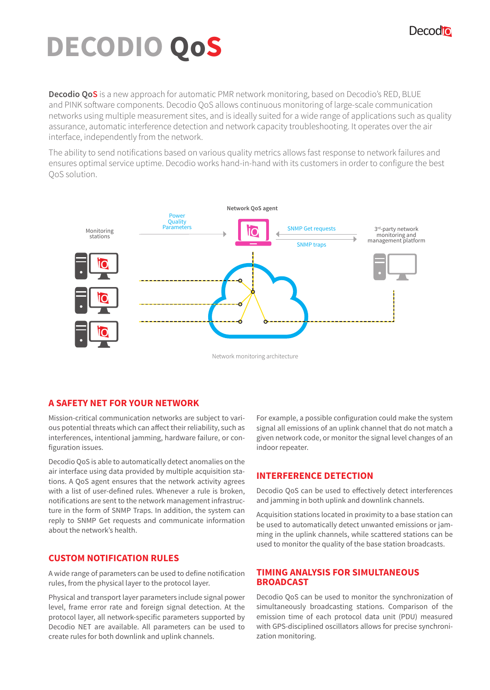## Decodio

# **DECODIO QoS**

**Decodio QoS** is a new approach for automatic PMR network monitoring, based on Decodio's RED, BLUE and PINK software components. Decodio QoS allows continuous monitoring of large-scale communication networks using multiple measurement sites, and is ideally suited for a wide range of applications such as quality assurance, automatic interference detection and network capacity troubleshooting. It operates over the air interface, independently from the network.

The ability to send notifications based on various quality metrics allows fast response to network failures and ensures optimal service uptime. Decodio works hand-in-hand with its customers in order to configure the best QoS solution.



#### **A SAFETY NET FOR YOUR NETWORK**

Mission-critical communication networks are subject to various potential threats which can affect their reliability, such as interferences, intentional jamming, hardware failure, or configuration issues.

Decodio QoS is able to automatically detect anomalies on the air interface using data provided by multiple acquisition stations. A QoS agent ensures that the network activity agrees with a list of user-defined rules. Whenever a rule is broken, notifications are sent to the network management infrastructure in the form of SNMP Traps. In addition, the system can reply to SNMP Get requests and communicate information about the network's health.

## **CUSTOM NOTIFICATION RULES**

A wide range of parameters can be used to define notification rules, from the physical layer to the protocol layer.

Physical and transport layer parameters include signal power level, frame error rate and foreign signal detection. At the protocol layer, all network-specific parameters supported by Decodio NET are available. All parameters can be used to create rules for both downlink and uplink channels.

For example, a possible configuration could make the system signal all emissions of an uplink channel that do not match a given network code, or monitor the signal level changes of an indoor repeater.

## **INTERFERENCE DETECTION**

Decodio QoS can be used to effectively detect interferences and jamming in both uplink and downlink channels.

Acquisition stations located in proximity to a base station can be used to automatically detect unwanted emissions or jamming in the uplink channels, while scattered stations can be used to monitor the quality of the base station broadcasts.

#### **TIMING ANALYSIS FOR SIMULTANEOUS BROADCAST**

Decodio QoS can be used to monitor the synchronization of simultaneously broadcasting stations. Comparison of the emission time of each protocol data unit (PDU) measured with GPS-disciplined oscillators allows for precise synchronization monitoring.